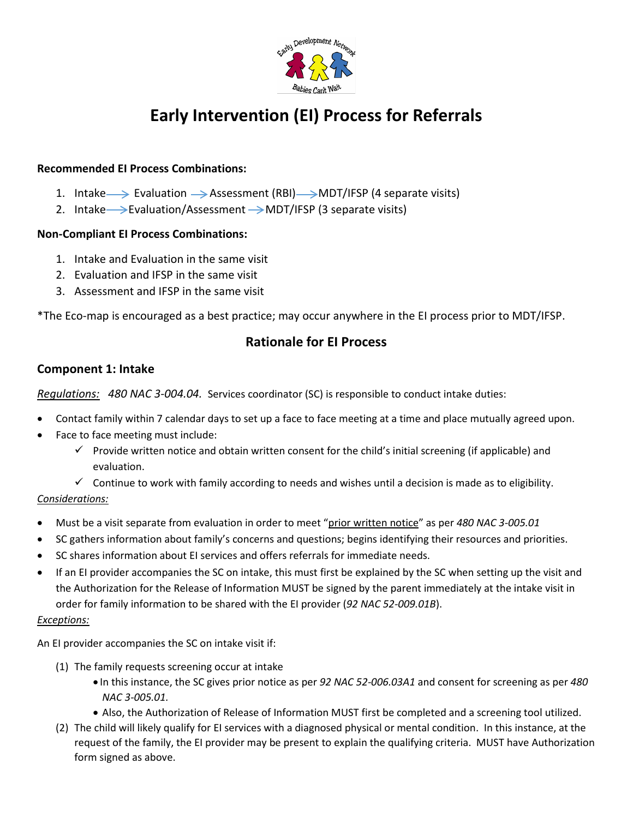

# **Early Intervention (EI) Process for Referrals**

## **Recommended EI Process Combinations:**

- 1. Intake  $\rightarrow$  Evaluation  $\rightarrow$  Assessment (RBI)  $\rightarrow$  MDT/IFSP (4 separate visits)
- 2. Intake  $\rightarrow$  Evaluation/Assessment  $\rightarrow$  MDT/IFSP (3 separate visits)

#### **Non-Compliant EI Process Combinations:**

- 1. Intake and Evaluation in the same visit
- 2. Evaluation and IFSP in the same visit
- 3. Assessment and IFSP in the same visit

\*The Eco-map is encouraged as a best practice; may occur anywhere in the EI process prior to MDT/IFSP.

## **Rationale for EI Process**

## **Component 1: Intake**

*Regulations: 480 NAC 3-004.04.* Services coordinator (SC) is responsible to conduct intake duties:

- Contact family within 7 calendar days to set up a face to face meeting at a time and place mutually agreed upon.
- Face to face meeting must include:
	- $\checkmark$  Provide written notice and obtain written consent for the child's initial screening (if applicable) and evaluation.
	- $\checkmark$  Continue to work with family according to needs and wishes until a decision is made as to eligibility.

#### *Considerations:*

- Must be a visit separate from evaluation in order to meet "prior written notice" as per *480 NAC 3-005.01*
- SC gathers information about family's concerns and questions; begins identifying their resources and priorities.
- SC shares information about EI services and offers referrals for immediate needs.
- If an EI provider accompanies the SC on intake, this must first be explained by the SC when setting up the visit and the Authorization for the Release of Information MUST be signed by the parent immediately at the intake visit in order for family information to be shared with the EI provider (*92 NAC 52-009.01B*).

#### *Exceptions:*

An EI provider accompanies the SC on intake visit if:

- (1) The family requests screening occur at intake
	- In this instance, the SC gives prior notice as per *92 NAC 52-006.03A1* and consent for screening as per *480 NAC 3-005.01.*
	- Also, the Authorization of Release of Information MUST first be completed and a screening tool utilized.
- (2) The child will likely qualify for EI services with a diagnosed physical or mental condition. In this instance, at the request of the family, the EI provider may be present to explain the qualifying criteria. MUST have Authorization form signed as above.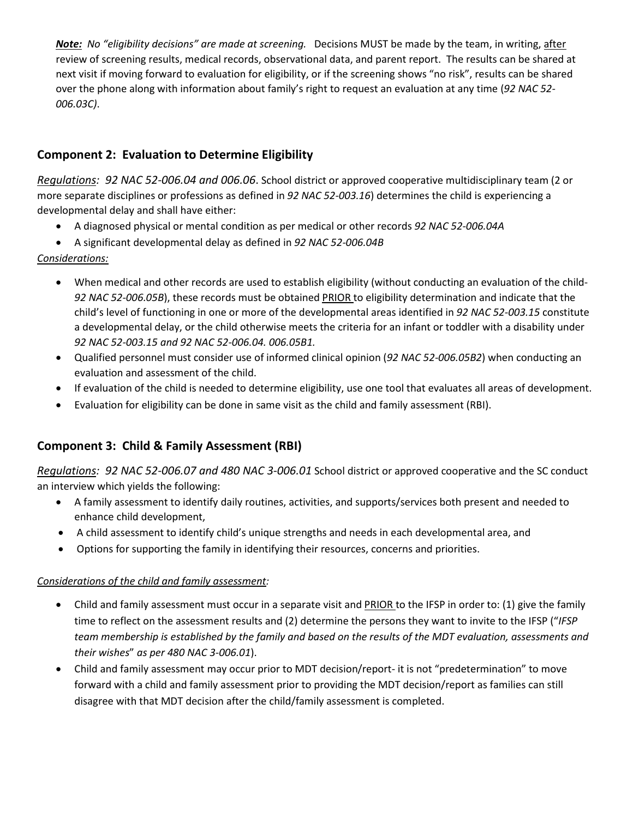*Note: No "eligibility decisions" are made at screening.* Decisions MUST be made by the team, in writing, after review of screening results, medical records, observational data, and parent report. The results can be shared at next visit if moving forward to evaluation for eligibility, or if the screening shows "no risk", results can be shared over the phone along with information about family's right to request an evaluation at any time (*92 NAC 52- 006.03C)*.

## **Component 2: Evaluation to Determine Eligibility**

*Regulations: 92 NAC 52-006.04 and 006.06*. School district or approved cooperative multidisciplinary team (2 or more separate disciplines or professions as defined in *92 NAC 52-003.16*) determines the child is experiencing a developmental delay and shall have either:

- A diagnosed physical or mental condition as per medical or other records *92 NAC 52-006.04A*
- A significant developmental delay as defined in *92 NAC 52-006.04B*

## *Considerations:*

- When medical and other records are used to establish eligibility (without conducting an evaluation of the child-*92 NAC 52-006.05B*), these records must be obtained PRIOR to eligibility determination and indicate that the child's level of functioning in one or more of the developmental areas identified in *92 NAC 52-003.15* constitute a developmental delay, or the child otherwise meets the criteria for an infant or toddler with a disability under *92 NAC 52-003.15 and 92 NAC 52-006.04. 006.05B1.*
- Qualified personnel must consider use of informed clinical opinion (*92 NAC 52-006.05B2*) when conducting an evaluation and assessment of the child.
- If evaluation of the child is needed to determine eligibility, use one tool that evaluates all areas of development.
- Evaluation for eligibility can be done in same visit as the child and family assessment (RBI).

# **Component 3: Child & Family Assessment (RBI)**

*Regulations: 92 NAC 52-006.07 and 480 NAC 3-006.01* School district or approved cooperative and the SC conduct an interview which yields the following:

- A family assessment to identify daily routines, activities, and supports/services both present and needed to enhance child development,
- A child assessment to identify child's unique strengths and needs in each developmental area, and
- Options for supporting the family in identifying their resources, concerns and priorities.

#### *Considerations of the child and family assessment:*

- Child and family assessment must occur in a separate visit and PRIOR to the IFSP in order to: (1) give the family time to reflect on the assessment results and (2) determine the persons they want to invite to the IFSP ("*IFSP team membership is established by the family and based on the results of the MDT evaluation, assessments and their wishes*" *as per 480 NAC 3-006.01*).
- Child and family assessment may occur prior to MDT decision/report- it is not "predetermination" to move forward with a child and family assessment prior to providing the MDT decision/report as families can still disagree with that MDT decision after the child/family assessment is completed.